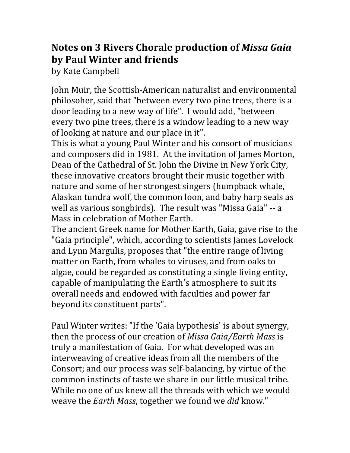## **Notes on 3 Rivers Chorale production of** *Missa Gaia* **by Paul Winter and friends**

by Kate Campbell

John Muir, the Scottish-American naturalist and environmental philosoher, said that "between every two pine trees, there is a door leading to a new way of life". I would add, "between every two pine trees, there is a window leading to a new way of looking at nature and our place in it".

This is what a young Paul Winter and his consort of musicians and composers did in 1981. At the invitation of James Morton, Dean of the Cathedral of St. John the Divine in New York City, these innovative creators brought their music together with nature and some of her strongest singers (humpback whale, Alaskan tundra wolf, the common loon, and baby harp seals as well as various songbirds). The result was "Missa Gaia" -- a Mass in celebration of Mother Earth.

The ancient Greek name for Mother Earth, Gaia, gave rise to the "Gaia principle", which, according to scientists James Lovelock and Lynn Margulis, proposes that "the entire range of living matter on Earth, from whales to viruses, and from oaks to algae, could be regarded as constituting a single living entity, capable of manipulating the Earth's atmosphere to suit its overall needs and endowed with faculties and power far beyond its constituent parts".

Paul Winter writes: "If the 'Gaia hypothesis' is about synergy, then the process of our creation of *Missa Gaia/Earth Mass* is truly a manifestation of Gaia. For what developed was an interweaving of creative ideas from all the members of the Consort; and our process was self-balancing, by virtue of the common instincts of taste we share in our little musical tribe. While no one of us knew all the threads with which we would weave the *Earth Mass*, together we found we *did* know."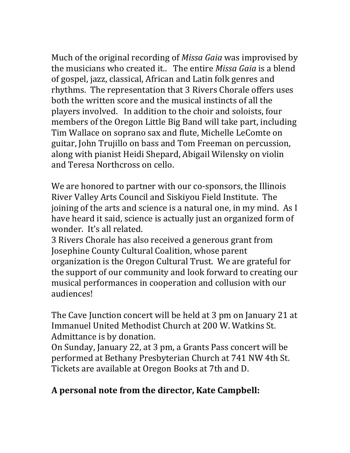Much of the original recording of *Missa Gaia* was improvised by the musicians who created it.. The entire *Missa Gaia* is a blend of gospel, jazz, classical, African and Latin folk genres and rhythms. The representation that 3 Rivers Chorale offers uses both the written score and the musical instincts of all the players involved. In addition to the choir and soloists, four members of the Oregon Little Big Band will take part, including Tim Wallace on soprano sax and flute, Michelle LeComte on guitar, John Trujillo on bass and Tom Freeman on percussion, along with pianist Heidi Shepard, Abigail Wilensky on violin and Teresa Northcross on cello.

We are honored to partner with our co-sponsors, the Illinois River Valley Arts Council and Siskiyou Field Institute. The joining of the arts and science is a natural one, in my mind. As I have heard it said, science is actually just an organized form of wonder. It's all related.

3 Rivers Chorale has also received a generous grant from Josephine County Cultural Coalition, whose parent organization is the Oregon Cultural Trust. We are grateful for the support of our community and look forward to creating our musical performances in cooperation and collusion with our audiences!

The Cave Junction concert will be held at 3 pm on January 21 at Immanuel United Methodist Church at 200 W. Watkins St. Admittance is by donation.

On Sunday, January 22, at 3 pm, a Grants Pass concert will be performed at Bethany Presbyterian Church at 741 NW 4th St. Tickets are available at Oregon Books at 7th and D.

## **A personal note from the director, Kate Campbell:**